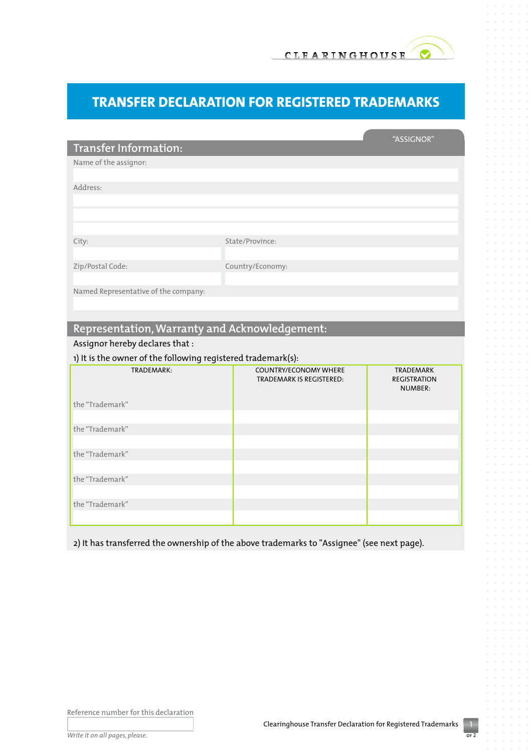## **Transfer Declaration for Registered Trademarks**

|                                      |                  | "ASSIGNOR" |
|--------------------------------------|------------------|------------|
| <b>Transfer Information:</b>         |                  |            |
| Name of the assignor:                |                  |            |
|                                      |                  |            |
| Address:                             |                  |            |
|                                      |                  |            |
|                                      |                  |            |
|                                      |                  |            |
| City:                                | State/Province:  |            |
|                                      |                  |            |
| Zip/Postal Code:                     | Country/Economy: |            |
|                                      |                  |            |
| Named Representative of the company: |                  |            |
|                                      |                  |            |
|                                      |                  |            |

## **Representation, Warranty and Acknowledgement:**

## Assignor hereby declares that :

1) It is the owner of the following registered trademark(s):

| TRADEMARK:      | <b>COUNTRY/ECONOMY WHERE</b><br><b>TRADEMARK IS REGISTERED:</b> | <b>TRADEMARK</b><br><b>REGISTRATION</b><br>NUMBER: |
|-----------------|-----------------------------------------------------------------|----------------------------------------------------|
| the "Trademark" |                                                                 |                                                    |
|                 |                                                                 |                                                    |
| the "Trademark" |                                                                 |                                                    |
|                 |                                                                 |                                                    |
| the "Trademark" |                                                                 |                                                    |
|                 |                                                                 |                                                    |
| the "Trademark" |                                                                 |                                                    |
|                 |                                                                 |                                                    |
| the "Trademark" |                                                                 |                                                    |
|                 |                                                                 |                                                    |

2) It has transferred the ownership of the above trademarks to "Assignee" (see next page).

Reference number for this declaration